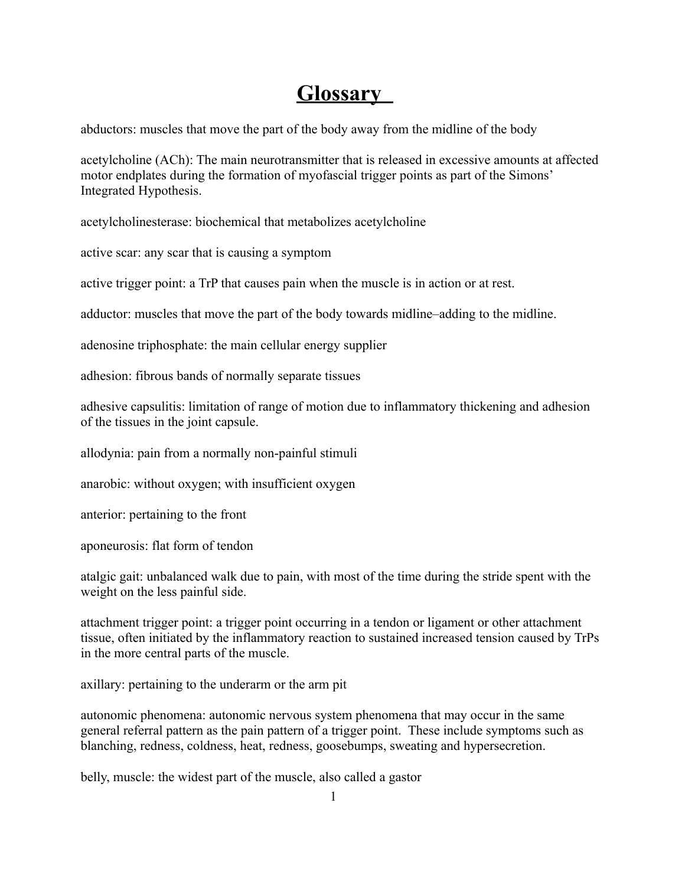## **Glossary**

abductors: muscles that move the part of the body away from the midline of the body

acetylcholine (ACh): The main neurotransmitter that is released in excessive amounts at affected motor endplates during the formation of myofascial trigger points as part of the Simons' Integrated Hypothesis.

acetylcholinesterase: biochemical that metabolizes acetylcholine

active scar: any scar that is causing a symptom

active trigger point: a TrP that causes pain when the muscle is in action or at rest.

adductor: muscles that move the part of the body towards midline–adding to the midline.

adenosine triphosphate: the main cellular energy supplier

adhesion: fibrous bands of normally separate tissues

adhesive capsulitis: limitation of range of motion due to inflammatory thickening and adhesion of the tissues in the joint capsule.

allodynia: pain from a normally non-painful stimuli

anarobic: without oxygen; with insufficient oxygen

anterior: pertaining to the front

aponeurosis: flat form of tendon

atalgic gait: unbalanced walk due to pain, with most of the time during the stride spent with the weight on the less painful side.

attachment trigger point: a trigger point occurring in a tendon or ligament or other attachment tissue, often initiated by the inflammatory reaction to sustained increased tension caused by TrPs in the more central parts of the muscle.

axillary: pertaining to the underarm or the arm pit

autonomic phenomena: autonomic nervous system phenomena that may occur in the same general referral pattern as the pain pattern of a trigger point. These include symptoms such as blanching, redness, coldness, heat, redness, goosebumps, sweating and hypersecretion.

belly, muscle: the widest part of the muscle, also called a gastor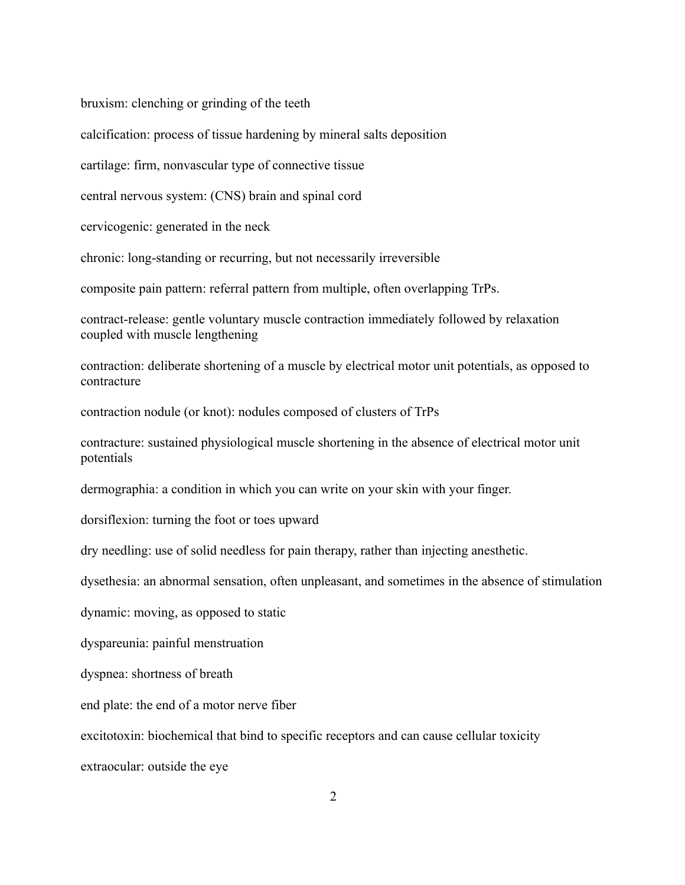bruxism: clenching or grinding of the teeth

calcification: process of tissue hardening by mineral salts deposition

cartilage: firm, nonvascular type of connective tissue

central nervous system: (CNS) brain and spinal cord

cervicogenic: generated in the neck

chronic: long-standing or recurring, but not necessarily irreversible

composite pain pattern: referral pattern from multiple, often overlapping TrPs.

contract-release: gentle voluntary muscle contraction immediately followed by relaxation coupled with muscle lengthening

contraction: deliberate shortening of a muscle by electrical motor unit potentials, as opposed to contracture

contraction nodule (or knot): nodules composed of clusters of TrPs

contracture: sustained physiological muscle shortening in the absence of electrical motor unit potentials

dermographia: a condition in which you can write on your skin with your finger.

dorsiflexion: turning the foot or toes upward

dry needling: use of solid needless for pain therapy, rather than injecting anesthetic.

dysethesia: an abnormal sensation, often unpleasant, and sometimes in the absence of stimulation

dynamic: moving, as opposed to static

dyspareunia: painful menstruation

dyspnea: shortness of breath

end plate: the end of a motor nerve fiber

excitotoxin: biochemical that bind to specific receptors and can cause cellular toxicity

extraocular: outside the eye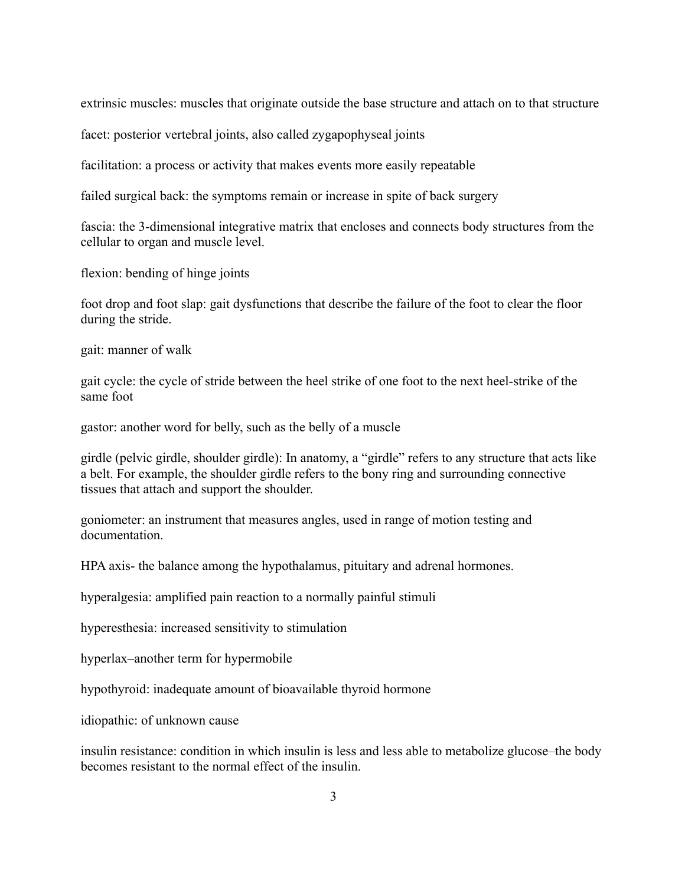extrinsic muscles: muscles that originate outside the base structure and attach on to that structure

facet: posterior vertebral joints, also called zygapophyseal joints

facilitation: a process or activity that makes events more easily repeatable

failed surgical back: the symptoms remain or increase in spite of back surgery

fascia: the 3-dimensional integrative matrix that encloses and connects body structures from the cellular to organ and muscle level.

flexion: bending of hinge joints

foot drop and foot slap: gait dysfunctions that describe the failure of the foot to clear the floor during the stride.

gait: manner of walk

gait cycle: the cycle of stride between the heel strike of one foot to the next heel-strike of the same foot

gastor: another word for belly, such as the belly of a muscle

girdle (pelvic girdle, shoulder girdle): In anatomy, a "girdle" refers to any structure that acts like a belt. For example, the shoulder girdle refers to the bony ring and surrounding connective tissues that attach and support the shoulder.

goniometer: an instrument that measures angles, used in range of motion testing and documentation.

HPA axis- the balance among the hypothalamus, pituitary and adrenal hormones.

hyperalgesia: amplified pain reaction to a normally painful stimuli

hyperesthesia: increased sensitivity to stimulation

hyperlax–another term for hypermobile

hypothyroid: inadequate amount of bioavailable thyroid hormone

idiopathic: of unknown cause

insulin resistance: condition in which insulin is less and less able to metabolize glucose–the body becomes resistant to the normal effect of the insulin.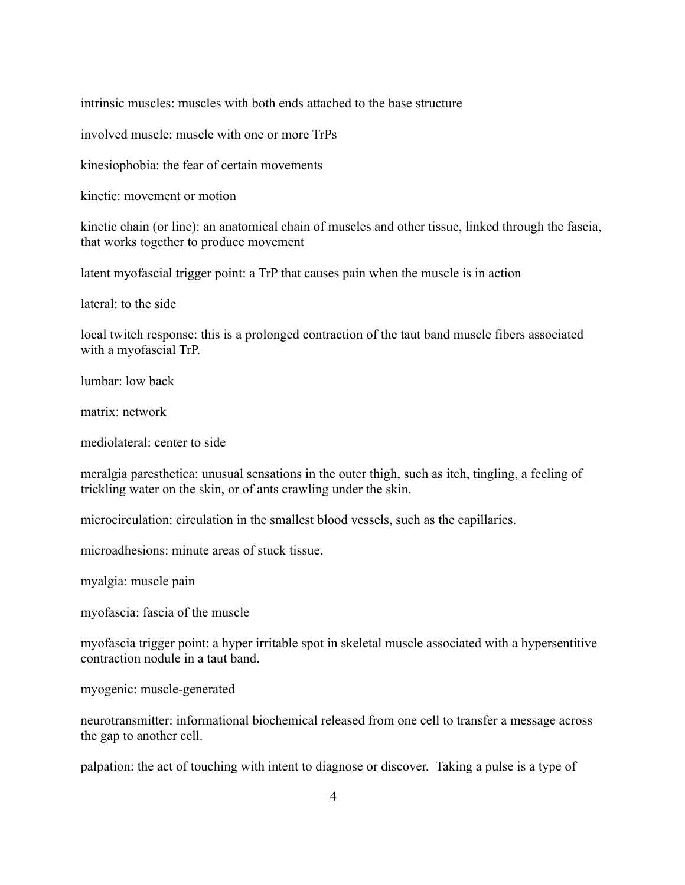intrinsic muscles: muscles with both ends attached to the base structure

involved muscle: muscle with one or more TrPs

kinesiophobia: the fear of certain movements

kinetic: movement or motion

kinetic chain (or line): an anatomical chain of muscles and other tissue, linked through the fascia, that works together to produce movement

latent myofascial trigger point: a TrP that causes pain when the muscle is in action

lateral: to the side

local twitch response: this is a prolonged contraction of the taut band muscle fibers associated with a myofascial TrP.

lumbar: low back

matrix: network

mediolateral: center to side

meralgia paresthetica: unusual sensations in the outer thigh, such as itch, tingling, a feeling of trickling water on the skin, or of ants crawling under the skin.

microcirculation: circulation in the smallest blood vessels, such as the capillaries.

microadhesions: minute areas of stuck tissue.

myalgia: muscle pain

myofascia: fascia of the muscle

myofascia trigger point: a hyper irritable spot in skeletal muscle associated with a hypersentitive contraction nodule in a taut band.

myogenic: muscle-generated

neurotransmitter: informational biochemical released from one cell to transfer a message across the gap to another cell.

palpation: the act of touching with intent to diagnose or discover. Taking a pulse is a type of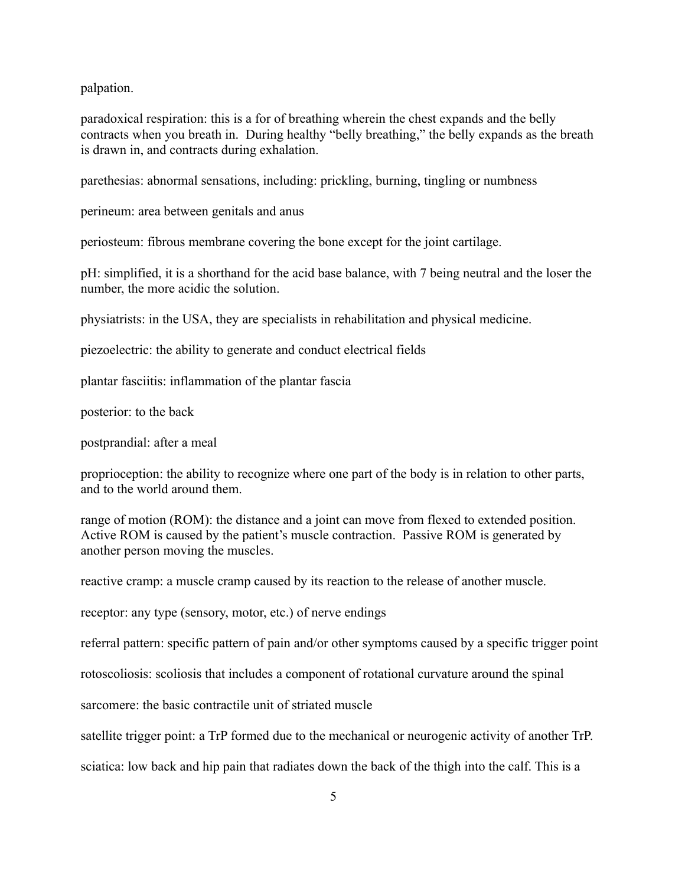palpation.

paradoxical respiration: this is a for of breathing wherein the chest expands and the belly contracts when you breath in. During healthy "belly breathing," the belly expands as the breath is drawn in, and contracts during exhalation.

parethesias: abnormal sensations, including: prickling, burning, tingling or numbness

perineum: area between genitals and anus

periosteum: fibrous membrane covering the bone except for the joint cartilage.

pH: simplified, it is a shorthand for the acid base balance, with 7 being neutral and the loser the number, the more acidic the solution.

physiatrists: in the USA, they are specialists in rehabilitation and physical medicine.

piezoelectric: the ability to generate and conduct electrical fields

plantar fasciitis: inflammation of the plantar fascia

posterior: to the back

postprandial: after a meal

proprioception: the ability to recognize where one part of the body is in relation to other parts, and to the world around them.

range of motion (ROM): the distance and a joint can move from flexed to extended position. Active ROM is caused by the patient's muscle contraction. Passive ROM is generated by another person moving the muscles.

reactive cramp: a muscle cramp caused by its reaction to the release of another muscle.

receptor: any type (sensory, motor, etc.) of nerve endings

referral pattern: specific pattern of pain and/or other symptoms caused by a specific trigger point

rotoscoliosis: scoliosis that includes a component of rotational curvature around the spinal

sarcomere: the basic contractile unit of striated muscle

satellite trigger point: a TrP formed due to the mechanical or neurogenic activity of another TrP.

sciatica: low back and hip pain that radiates down the back of the thigh into the calf. This is a